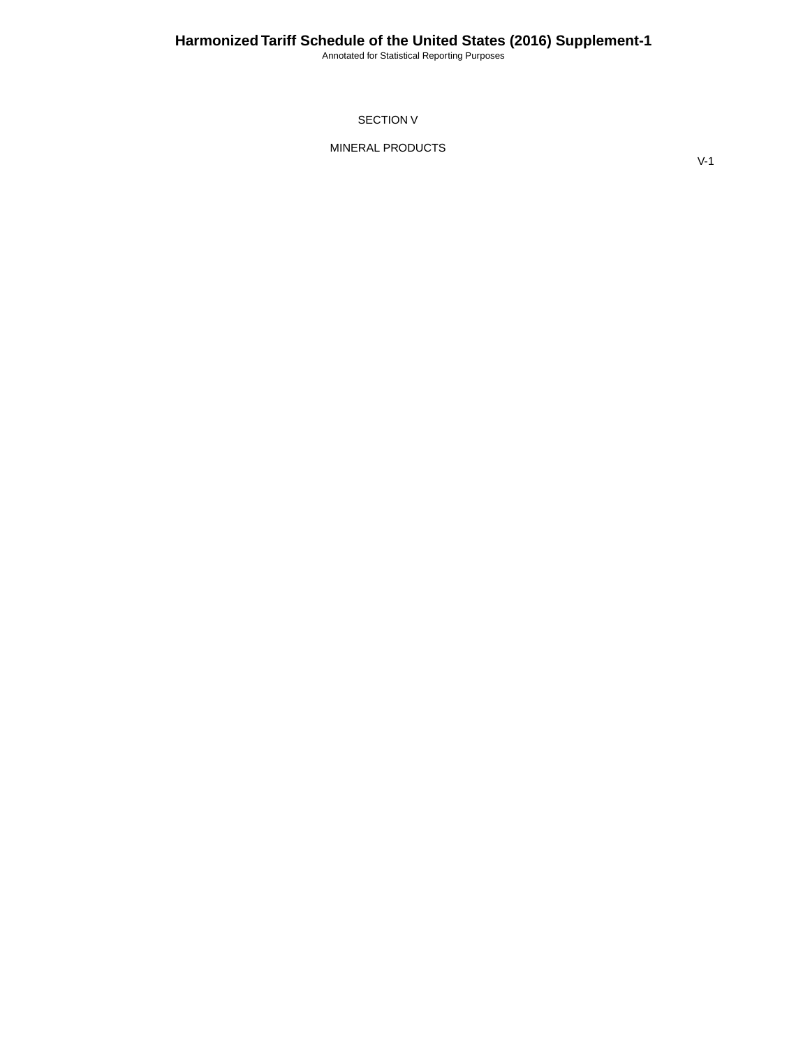Annotated for Statistical Reporting Purposes

SECTION V

MINERAL PRODUCTS

V-1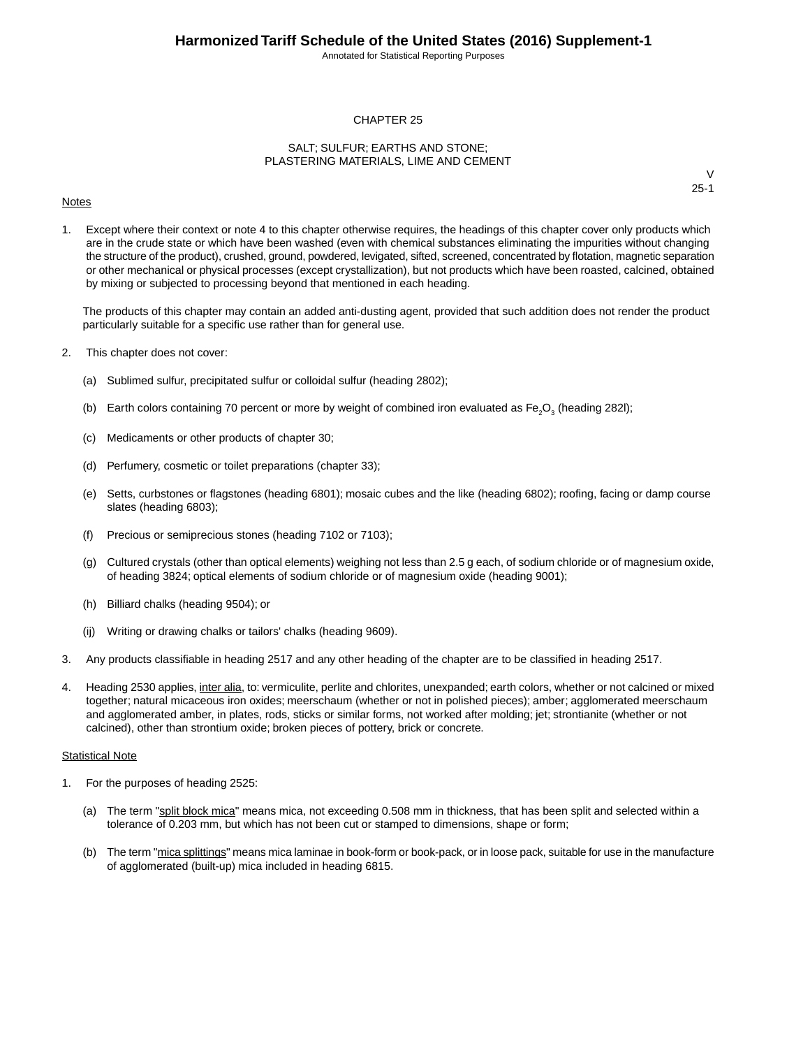Annotated for Statistical Reporting Purposes

#### CHAPTER 25

#### SALT; SULFUR; EARTHS AND STONE; PLASTERING MATERIALS, LIME AND CEMENT

#### **Notes**

V 25-1

1. Except where their context or note 4 to this chapter otherwise requires, the headings of this chapter cover only products which are in the crude state or which have been washed (even with chemical substances eliminating the impurities without changing the structure of the product), crushed, ground, powdered, levigated, sifted, screened, concentrated by flotation, magnetic separation or other mechanical or physical processes (except crystallization), but not products which have been roasted, calcined, obtained by mixing or subjected to processing beyond that mentioned in each heading.

The products of this chapter may contain an added anti-dusting agent, provided that such addition does not render the product particularly suitable for a specific use rather than for general use.

- 2. This chapter does not cover:
	- (a) Sublimed sulfur, precipitated sulfur or colloidal sulfur (heading 2802);
	- (b) Earth colors containing 70 percent or more by weight of combined iron evaluated as Fe<sub>2</sub>O<sub>3</sub> (heading 282I);
	- (c) Medicaments or other products of chapter 30;
	- (d) Perfumery, cosmetic or toilet preparations (chapter 33);
	- (e) Setts, curbstones or flagstones (heading 6801); mosaic cubes and the like (heading 6802); roofing, facing or damp course slates (heading 6803);
	- (f) Precious or semiprecious stones (heading 7102 or 7103);
	- (g) Cultured crystals (other than optical elements) weighing not less than 2.5 g each, of sodium chloride or of magnesium oxide, of heading 3824; optical elements of sodium chloride or of magnesium oxide (heading 9001);
	- (h) Billiard chalks (heading 9504); or
	- (ij) Writing or drawing chalks or tailors' chalks (heading 9609).
- 3. Any products classifiable in heading 2517 and any other heading of the chapter are to be classified in heading 2517.
- 4. Heading 2530 applies, inter alia, to: vermiculite, perlite and chlorites, unexpanded; earth colors, whether or not calcined or mixed together; natural micaceous iron oxides; meerschaum (whether or not in polished pieces); amber; agglomerated meerschaum and agglomerated amber, in plates, rods, sticks or similar forms, not worked after molding; jet; strontianite (whether or not calcined), other than strontium oxide; broken pieces of pottery, brick or concrete.

#### Statistical Note

- 1. For the purposes of heading 2525:
	- (a) The term "split block mica" means mica, not exceeding 0.508 mm in thickness, that has been split and selected within a tolerance of 0.203 mm, but which has not been cut or stamped to dimensions, shape or form;
	- (b) The term "mica splittings" means mica laminae in book-form or book-pack, or in loose pack, suitable for use in the manufacture of agglomerated (built-up) mica included in heading 6815.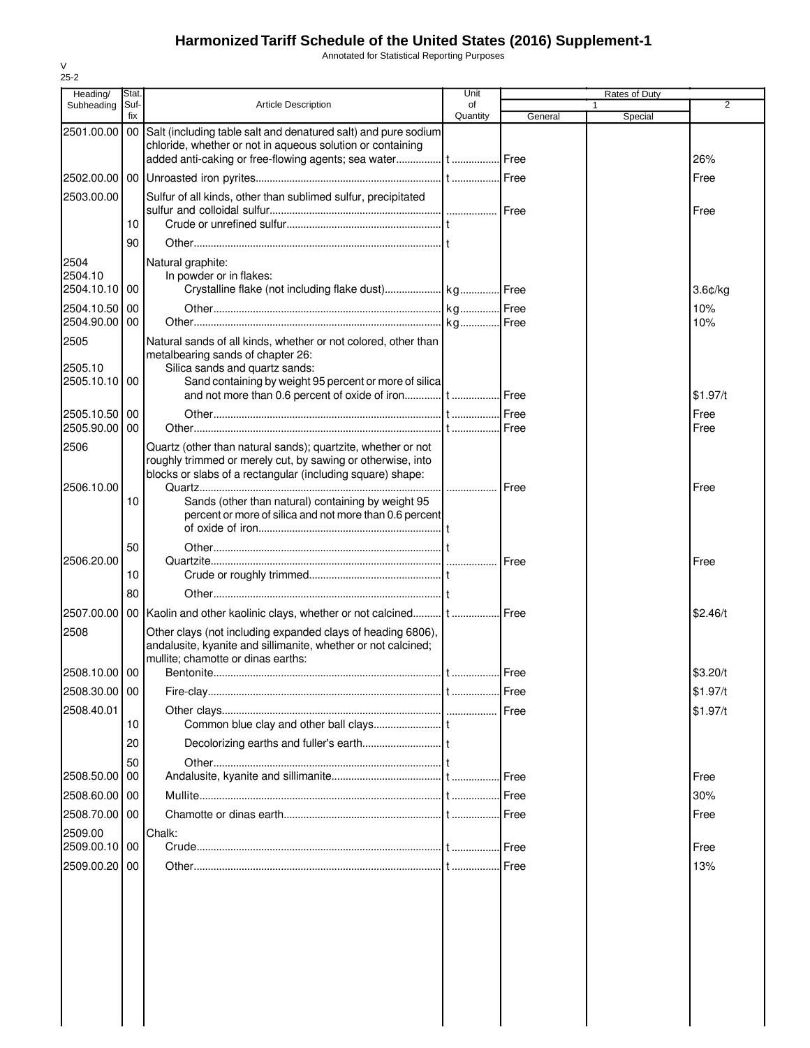Annotated for Statistical Reporting Purposes

| Heading/                         | Stat.       |                                                                                                                                                                                                 | Unit           |               | Rates of Duty |              |
|----------------------------------|-------------|-------------------------------------------------------------------------------------------------------------------------------------------------------------------------------------------------|----------------|---------------|---------------|--------------|
| Subheading                       | Suf-<br>fix | <b>Article Description</b>                                                                                                                                                                      | of<br>Quantity | General       | 1<br>Special  | 2            |
| 2501.00.00                       |             | 00 Salt (including table salt and denatured salt) and pure sodium<br>chloride, whether or not in aqueous solution or containing                                                                 |                |               |               | 26%          |
|                                  |             |                                                                                                                                                                                                 |                |               |               | Free         |
| 2503.00.00                       |             | Sulfur of all kinds, other than sublimed sulfur, precipitated                                                                                                                                   |                |               |               | Free         |
|                                  | 10<br>90    |                                                                                                                                                                                                 |                |               |               |              |
| 2504<br>2504.10                  |             | Natural graphite:<br>In powder or in flakes:                                                                                                                                                    |                |               |               |              |
| 2504.10.10 00                    |             |                                                                                                                                                                                                 |                |               |               | $3.6$ ¢/kg   |
| 2504.10.50<br>2504.90.00         | 00<br>00    |                                                                                                                                                                                                 |                |               |               | 10%<br>10%   |
| 2505<br>2505.10<br>2505.10.10 00 |             | Natural sands of all kinds, whether or not colored, other than<br>metalbearing sands of chapter 26:<br>Silica sands and quartz sands:<br>Sand containing by weight 95 percent or more of silica |                |               |               |              |
|                                  |             |                                                                                                                                                                                                 |                |               |               | \$1.97/t     |
| 2505.10.50 00<br>2505.90.00      | 00          |                                                                                                                                                                                                 |                |               |               | Free<br>Free |
| 2506                             |             | Quartz (other than natural sands); quartzite, whether or not<br>roughly trimmed or merely cut, by sawing or otherwise, into<br>blocks or slabs of a rectangular (including square) shape:       |                |               |               |              |
| 2506.10.00                       | 10          | Sands (other than natural) containing by weight 95<br>percent or more of silica and not more than 0.6 percent                                                                                   |                | Free          |               | Free         |
|                                  | 50          |                                                                                                                                                                                                 |                |               |               |              |
| 2506.20.00                       |             |                                                                                                                                                                                                 |                |               |               | Free         |
|                                  | 10<br>80    |                                                                                                                                                                                                 |                |               |               |              |
| 2507.00.00                       |             | 00 Kaolin and other kaolinic clays, whether or not calcined t  Free                                                                                                                             |                |               |               | \$2.46/t     |
| 2508                             |             | Other clays (not including expanded clays of heading 6806),<br>andalusite, kyanite and sillimanite, whether or not calcined;<br>mullite; chamotte or dinas earths:                              |                |               |               |              |
| 2508.10.00 00                    |             |                                                                                                                                                                                                 |                |               |               | \$3.20/t     |
| 2508.30.00 00                    |             |                                                                                                                                                                                                 |                | Free          |               | \$1.97/t     |
| 2508.40.01                       | 10          |                                                                                                                                                                                                 |                |               |               | \$1.97/t     |
|                                  | 20          |                                                                                                                                                                                                 |                |               |               |              |
|                                  | 50          |                                                                                                                                                                                                 |                |               |               |              |
| 2508.50.00 00                    |             |                                                                                                                                                                                                 |                | <b>I</b> Free |               | Free         |
| 2508.60.00                       | 00          |                                                                                                                                                                                                 |                |               |               | 30%          |
| 2508.70.00 00<br>2509.00         |             | Chalk:                                                                                                                                                                                          |                |               |               | Free         |
| 2509.00.10 00                    |             |                                                                                                                                                                                                 |                |               |               | Free         |
| 2509.00.20 00                    |             |                                                                                                                                                                                                 |                |               |               | 13%          |
|                                  |             |                                                                                                                                                                                                 |                |               |               |              |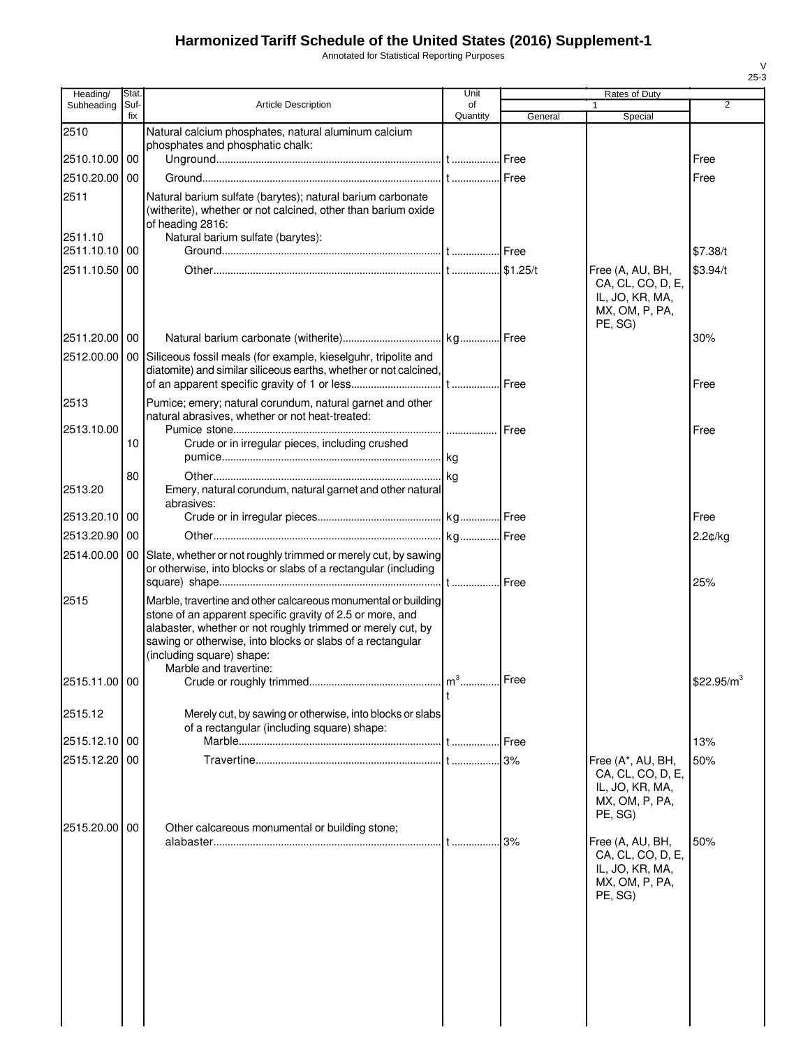Annotated for Statistical Reporting Purposes

| Heading/      | <b>Stat</b> |                                                                                                                                                                                                                                                                                                                 | Unit           |             | Rates of Duty                                                                         |                        |
|---------------|-------------|-----------------------------------------------------------------------------------------------------------------------------------------------------------------------------------------------------------------------------------------------------------------------------------------------------------------|----------------|-------------|---------------------------------------------------------------------------------------|------------------------|
| Subheading    | Suf-<br>fix | <b>Article Description</b>                                                                                                                                                                                                                                                                                      | of<br>Quantity | General     | 1<br>Special                                                                          | $\overline{2}$         |
| 2510          |             | Natural calcium phosphates, natural aluminum calcium                                                                                                                                                                                                                                                            |                |             |                                                                                       |                        |
|               |             | phosphates and phosphatic chalk:                                                                                                                                                                                                                                                                                |                |             |                                                                                       |                        |
| 2510.10.00 00 |             |                                                                                                                                                                                                                                                                                                                 |                |             |                                                                                       | Free                   |
| 2510.20.00    | 00          |                                                                                                                                                                                                                                                                                                                 |                |             |                                                                                       | Free                   |
| 2511          |             | Natural barium sulfate (barytes); natural barium carbonate<br>(witherite), whether or not calcined, other than barium oxide<br>of heading 2816:                                                                                                                                                                 |                |             |                                                                                       |                        |
| 2511.10       |             | Natural barium sulfate (barytes):                                                                                                                                                                                                                                                                               |                |             |                                                                                       |                        |
| 2511.10.10 00 |             |                                                                                                                                                                                                                                                                                                                 |                |             |                                                                                       | \$7.38/t               |
| 2511.10.50 00 |             |                                                                                                                                                                                                                                                                                                                 |                |             | Free (A, AU, BH,<br>CA, CL, CO, D, E,<br>IL, JO, KR, MA,<br>MX, OM, P, PA,<br>PE, SG) | \$3.94/t               |
| 2511.20.00 00 |             |                                                                                                                                                                                                                                                                                                                 |                |             |                                                                                       | 30%                    |
| 2512.00.00    |             | 00 Siliceous fossil meals (for example, kieselguhr, tripolite and                                                                                                                                                                                                                                               |                |             |                                                                                       |                        |
|               |             | diatomite) and similar siliceous earths, whether or not calcined,                                                                                                                                                                                                                                               |                |             |                                                                                       |                        |
|               |             |                                                                                                                                                                                                                                                                                                                 |                |             |                                                                                       | Free                   |
| 2513          |             | Pumice; emery; natural corundum, natural garnet and other<br>natural abrasives, whether or not heat-treated:                                                                                                                                                                                                    |                |             |                                                                                       |                        |
| 2513.10.00    |             |                                                                                                                                                                                                                                                                                                                 |                | <b>Free</b> |                                                                                       | Free                   |
|               | 10          | Crude or in irregular pieces, including crushed                                                                                                                                                                                                                                                                 |                |             |                                                                                       |                        |
|               |             |                                                                                                                                                                                                                                                                                                                 |                |             |                                                                                       |                        |
|               | 80          |                                                                                                                                                                                                                                                                                                                 |                |             |                                                                                       |                        |
| 2513.20       |             | Emery, natural corundum, natural garnet and other natural<br>abrasives:                                                                                                                                                                                                                                         |                |             |                                                                                       |                        |
| 2513.20.10    | 00          |                                                                                                                                                                                                                                                                                                                 |                |             |                                                                                       | Free                   |
| 2513.20.90 00 |             |                                                                                                                                                                                                                                                                                                                 |                |             |                                                                                       | 2.2¢/kg                |
| 2514.00.00    |             | 00 Slate, whether or not roughly trimmed or merely cut, by sawing                                                                                                                                                                                                                                               |                |             |                                                                                       |                        |
|               |             | or otherwise, into blocks or slabs of a rectangular (including                                                                                                                                                                                                                                                  |                |             |                                                                                       |                        |
|               |             |                                                                                                                                                                                                                                                                                                                 |                |             |                                                                                       | 25%                    |
| 2515          |             | Marble, travertine and other calcareous monumental or building<br>stone of an apparent specific gravity of 2.5 or more, and<br>alabaster, whether or not roughly trimmed or merely cut, by<br>sawing or otherwise, into blocks or slabs of a rectangular<br>(including square) shape:<br>Marble and travertine: |                |             |                                                                                       |                        |
| 2515.11.00 00 |             |                                                                                                                                                                                                                                                                                                                 |                |             |                                                                                       | \$22.95/m <sup>3</sup> |
| 2515.12       |             | Merely cut, by sawing or otherwise, into blocks or slabs                                                                                                                                                                                                                                                        |                |             |                                                                                       |                        |
| 2515.12.10 00 |             | of a rectangular (including square) shape:                                                                                                                                                                                                                                                                      |                | Free        |                                                                                       | 13%                    |
| 2515.12.20    | 00          |                                                                                                                                                                                                                                                                                                                 |                | 3%          | Free (A*, AU, BH,                                                                     | 50%                    |
|               |             |                                                                                                                                                                                                                                                                                                                 |                |             | CA, CL, CO, D, E,<br>IL, JO, KR, MA,<br>MX, OM, P, PA,<br>PE, SG)                     |                        |
| 2515.20.00 00 |             | Other calcareous monumental or building stone;                                                                                                                                                                                                                                                                  |                |             | Free (A, AU, BH,                                                                      | 50%                    |
|               |             |                                                                                                                                                                                                                                                                                                                 |                |             | CA, CL, CO, D, E,<br>IL, JO, KR, MA,<br>MX, OM, P, PA,<br>PE, SG)                     |                        |
|               |             |                                                                                                                                                                                                                                                                                                                 |                |             |                                                                                       |                        |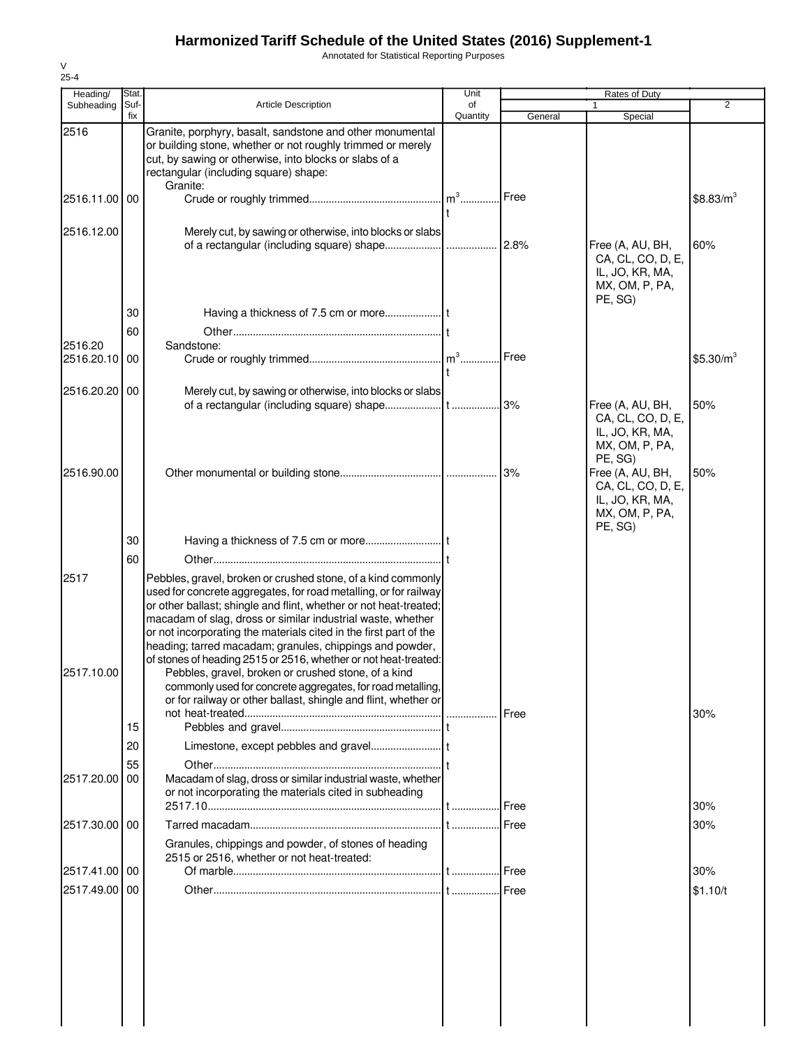Annotated for Statistical Reporting Purposes

| Heading/           | Stat.       |                                                                                                                                                                                                                                                                                                                                                                                                                                                                                                                                                                                                                                                                 | Unit           | Rates of Duty |                                                                                                                            |                       |
|--------------------|-------------|-----------------------------------------------------------------------------------------------------------------------------------------------------------------------------------------------------------------------------------------------------------------------------------------------------------------------------------------------------------------------------------------------------------------------------------------------------------------------------------------------------------------------------------------------------------------------------------------------------------------------------------------------------------------|----------------|---------------|----------------------------------------------------------------------------------------------------------------------------|-----------------------|
| Subheading         | Suf-<br>fix | <b>Article Description</b>                                                                                                                                                                                                                                                                                                                                                                                                                                                                                                                                                                                                                                      | of<br>Quantity | General       | 1<br>Special                                                                                                               | $\overline{2}$        |
| 2516               |             | Granite, porphyry, basalt, sandstone and other monumental<br>or building stone, whether or not roughly trimmed or merely<br>cut, by sawing or otherwise, into blocks or slabs of a<br>rectangular (including square) shape:                                                                                                                                                                                                                                                                                                                                                                                                                                     |                |               |                                                                                                                            |                       |
| 2516.11.00 00      |             | Granite:                                                                                                                                                                                                                                                                                                                                                                                                                                                                                                                                                                                                                                                        |                | Free          |                                                                                                                            | $$8.83/m^3$           |
| 2516.12.00         |             | Merely cut, by sawing or otherwise, into blocks or slabs                                                                                                                                                                                                                                                                                                                                                                                                                                                                                                                                                                                                        |                | 2.8%          | Free (A, AU, BH,<br>CA, CL, CO, D, E,<br>IL, JO, KR, MA,<br>MX, OM, P, PA,<br>PE, SG)                                      | 60%                   |
|                    | 30          |                                                                                                                                                                                                                                                                                                                                                                                                                                                                                                                                                                                                                                                                 |                |               |                                                                                                                            |                       |
| 2516.20            | 60          | Sandstone:                                                                                                                                                                                                                                                                                                                                                                                                                                                                                                                                                                                                                                                      |                |               |                                                                                                                            |                       |
| 2516.20.10         | 00          |                                                                                                                                                                                                                                                                                                                                                                                                                                                                                                                                                                                                                                                                 |                | Free          |                                                                                                                            | \$5.30/m <sup>3</sup> |
| 2516.20.20 00      |             | Merely cut, by sawing or otherwise, into blocks or slabs                                                                                                                                                                                                                                                                                                                                                                                                                                                                                                                                                                                                        |                |               | Free (A, AU, BH,<br>CA, CL, CO, D, E,                                                                                      | 50%                   |
| 2516.90.00         |             |                                                                                                                                                                                                                                                                                                                                                                                                                                                                                                                                                                                                                                                                 |                |               | IL, JO, KR, MA,<br>MX, OM, P, PA,<br>PE, SG)<br>Free (A, AU, BH,<br>CA, CL, CO, D, E,<br>IL, JO, KR, MA,<br>MX, OM, P, PA, | 50%                   |
|                    | 30          |                                                                                                                                                                                                                                                                                                                                                                                                                                                                                                                                                                                                                                                                 |                |               | PE, SG)                                                                                                                    |                       |
|                    | 60          |                                                                                                                                                                                                                                                                                                                                                                                                                                                                                                                                                                                                                                                                 |                |               |                                                                                                                            |                       |
| 2517<br>2517.10.00 |             | Pebbles, gravel, broken or crushed stone, of a kind commonly<br>used for concrete aggregates, for road metalling, or for railway<br>or other ballast; shingle and flint, whether or not heat-treated;<br>macadam of slag, dross or similar industrial waste, whether<br>or not incorporating the materials cited in the first part of the<br>heading; tarred macadam; granules, chippings and powder,<br>of stones of heading 2515 or 2516, whether or not heat-treated:<br>Pebbles, gravel, broken or crushed stone, of a kind<br>commonly used for concrete aggregates, for road metalling,<br>or for railway or other ballast, shingle and flint, whether or |                |               |                                                                                                                            |                       |
|                    | 15          |                                                                                                                                                                                                                                                                                                                                                                                                                                                                                                                                                                                                                                                                 |                | Free          |                                                                                                                            | 30%                   |
|                    | 20          |                                                                                                                                                                                                                                                                                                                                                                                                                                                                                                                                                                                                                                                                 |                |               |                                                                                                                            |                       |
| 2517.20.00         | 55<br>00    | Macadam of slag, dross or similar industrial waste, whether<br>or not incorporating the materials cited in subheading                                                                                                                                                                                                                                                                                                                                                                                                                                                                                                                                           |                | IFree         |                                                                                                                            | 30%                   |
| 2517.30.00 00      |             |                                                                                                                                                                                                                                                                                                                                                                                                                                                                                                                                                                                                                                                                 |                | Free          |                                                                                                                            | 30%                   |
|                    |             | Granules, chippings and powder, of stones of heading<br>2515 or 2516, whether or not heat-treated:                                                                                                                                                                                                                                                                                                                                                                                                                                                                                                                                                              |                |               |                                                                                                                            |                       |
| 2517.41.00 00      |             |                                                                                                                                                                                                                                                                                                                                                                                                                                                                                                                                                                                                                                                                 |                |               |                                                                                                                            | 30%                   |
| 2517.49.00 00      |             |                                                                                                                                                                                                                                                                                                                                                                                                                                                                                                                                                                                                                                                                 |                |               |                                                                                                                            | \$1.10/t              |
|                    |             |                                                                                                                                                                                                                                                                                                                                                                                                                                                                                                                                                                                                                                                                 |                |               |                                                                                                                            |                       |

V 25-4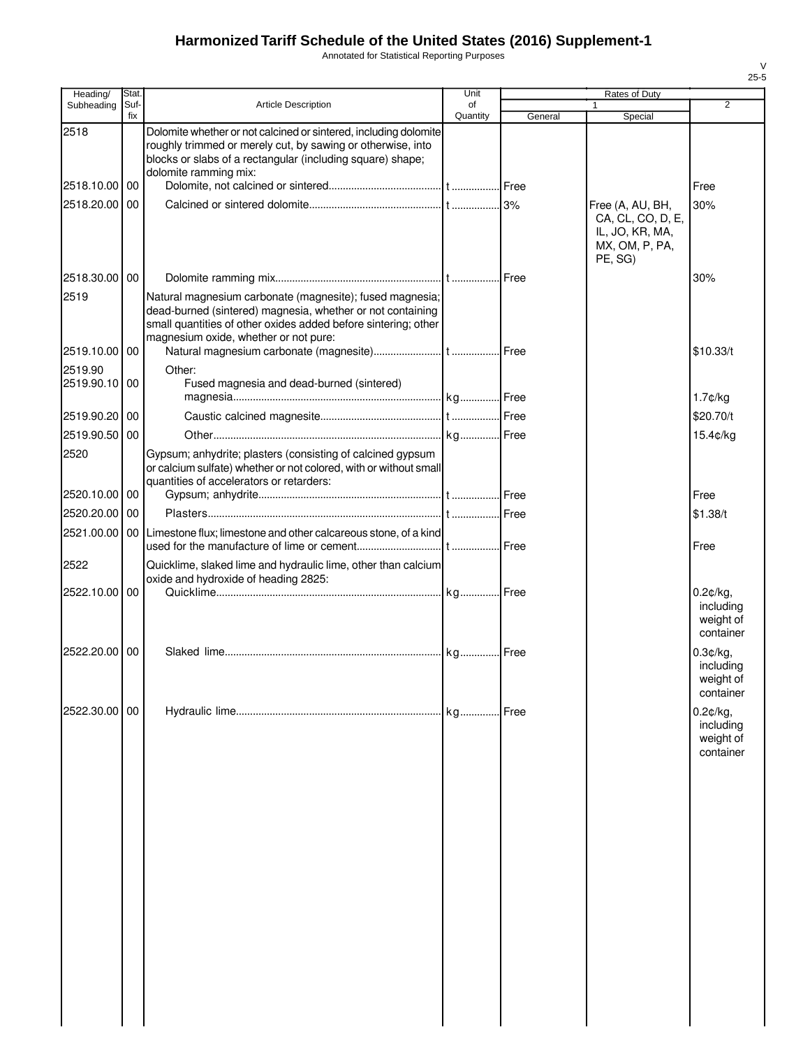Annotated for Statistical Reporting Purposes

| Heading/                 | Stat.       |                                                                                                                                                                                                                                   | Unit           |         | Rates of Duty                                                                         |                                                    |
|--------------------------|-------------|-----------------------------------------------------------------------------------------------------------------------------------------------------------------------------------------------------------------------------------|----------------|---------|---------------------------------------------------------------------------------------|----------------------------------------------------|
| Subheading               | Suf-<br>fix | <b>Article Description</b>                                                                                                                                                                                                        | of<br>Quantity | General | $\mathbf{1}$<br>Special                                                               | $\overline{2}$                                     |
| 2518                     |             | Dolomite whether or not calcined or sintered, including dolomite<br>roughly trimmed or merely cut, by sawing or otherwise, into<br>blocks or slabs of a rectangular (including square) shape;<br>dolomite ramming mix:            |                |         |                                                                                       |                                                    |
| 2518.10.00               | 00          |                                                                                                                                                                                                                                   |                |         |                                                                                       | Free                                               |
| 2518.20.00               | 00          |                                                                                                                                                                                                                                   |                |         | Free (A, AU, BH,<br>CA, CL, CO, D, E,<br>IL, JO, KR, MA,<br>MX, OM, P, PA,<br>PE, SG) | 30%                                                |
| 2518.30.00 00            |             |                                                                                                                                                                                                                                   |                |         |                                                                                       | 30%                                                |
| 2519                     |             | Natural magnesium carbonate (magnesite); fused magnesia;<br>dead-burned (sintered) magnesia, whether or not containing<br>small quantities of other oxides added before sintering; other<br>magnesium oxide, whether or not pure: |                |         |                                                                                       |                                                    |
| 2519.10.00 00            |             |                                                                                                                                                                                                                                   |                |         |                                                                                       | \$10.33/t                                          |
| 2519.90<br>2519.90.10 00 |             | Other:<br>Fused magnesia and dead-burned (sintered)                                                                                                                                                                               |                |         |                                                                                       | $1.7$ ¢/kg                                         |
| 2519.90.20 00            |             |                                                                                                                                                                                                                                   |                |         |                                                                                       | \$20.70/t                                          |
| 2519.90.50               | 00          |                                                                                                                                                                                                                                   |                |         |                                                                                       | 15.4¢/kg                                           |
| 2520                     |             | Gypsum; anhydrite; plasters (consisting of calcined gypsum<br>or calcium sulfate) whether or not colored, with or without small<br>quantities of accelerators or retarders:                                                       |                |         |                                                                                       |                                                    |
| 2520.10.00 00            |             |                                                                                                                                                                                                                                   |                |         |                                                                                       | Free                                               |
| 2520.20.00 00            |             |                                                                                                                                                                                                                                   |                |         |                                                                                       | \$1.38/t                                           |
| 2521.00.00               |             | 00 Limestone flux; limestone and other calcareous stone, of a kind                                                                                                                                                                |                |         |                                                                                       | Free                                               |
| 2522                     |             | Quicklime, slaked lime and hydraulic lime, other than calcium                                                                                                                                                                     |                |         |                                                                                       |                                                    |
| 2522.10.00               | 00          | oxide and hydroxide of heading 2825:                                                                                                                                                                                              |                |         |                                                                                       | $0.2$ ¢/kg,<br>including<br>weight of<br>container |
| 2522.20.00 00            |             |                                                                                                                                                                                                                                   |                |         |                                                                                       | 0.3¢/kg,<br>including<br>weight of<br>container    |
| 2522.30.00 00            |             |                                                                                                                                                                                                                                   | kg             | Free    |                                                                                       | 0.2¢/kg,<br>including<br>weight of<br>container    |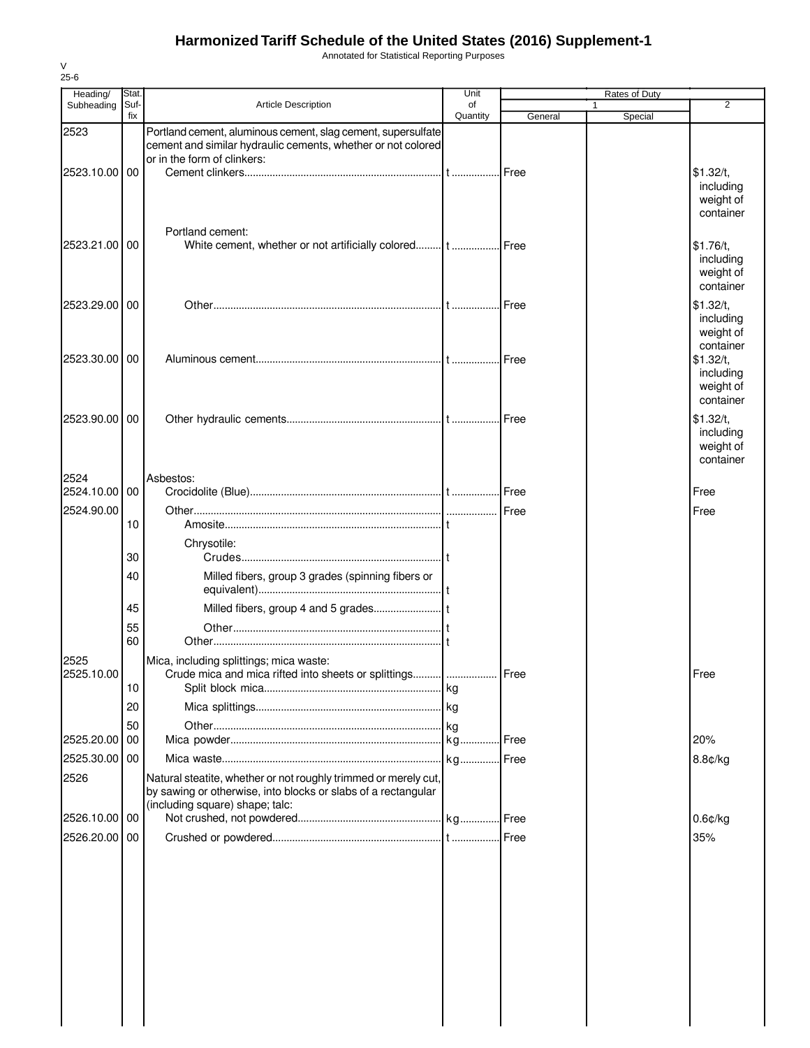Annotated for Statistical Reporting Purposes

| Heading/              | Stat.       |                                                                                                                                                                     | Unit           |         | Rates of Duty |                                                  |
|-----------------------|-------------|---------------------------------------------------------------------------------------------------------------------------------------------------------------------|----------------|---------|---------------|--------------------------------------------------|
| Subheading            | Suf-<br>fix | <b>Article Description</b>                                                                                                                                          | of<br>Quantity | General | 1<br>Special  | $\overline{2}$                                   |
| 2523<br>2523.10.00 00 |             | Portland cement, aluminous cement, slag cement, supersulfate<br>cement and similar hydraulic cements, whether or not colored<br>or in the form of clinkers:         |                |         |               | \$1.32/t,                                        |
|                       |             | Portland cement:                                                                                                                                                    |                |         |               | including<br>weight of<br>container              |
| 2523.21.00            | 00          | White cement, whether or not artificially colored t Free                                                                                                            |                |         |               | \$1.76/t,<br>including<br>weight of<br>container |
| 2523.29.00            | 00          |                                                                                                                                                                     |                | Free    |               | \$1.32/t,<br>including<br>weight of<br>container |
| 2523.30.00            | 00          |                                                                                                                                                                     |                |         |               | \$1.32/t.<br>including<br>weight of<br>container |
| 2523.90.00 00         |             |                                                                                                                                                                     |                |         |               | \$1.32/t,<br>including<br>weight of<br>container |
| 2524<br>2524.10.00    | 00          | Asbestos:                                                                                                                                                           |                |         |               | Free                                             |
| 2524.90.00            |             |                                                                                                                                                                     |                |         |               | Free                                             |
|                       | 10          |                                                                                                                                                                     |                |         |               |                                                  |
|                       | 30          | Chrysotile:                                                                                                                                                         |                |         |               |                                                  |
|                       | 40          | Milled fibers, group 3 grades (spinning fibers or                                                                                                                   |                |         |               |                                                  |
|                       | 45          |                                                                                                                                                                     |                |         |               |                                                  |
|                       | 55          |                                                                                                                                                                     |                |         |               |                                                  |
|                       | 60          |                                                                                                                                                                     |                |         |               |                                                  |
| 2525<br>2525.10.00    | 10          | Mica, including splittings; mica waste:<br>Crude mica and mica rifted into sheets or splittings                                                                     |                | Free    |               | Free                                             |
|                       | 20          |                                                                                                                                                                     |                |         |               |                                                  |
|                       | 50          |                                                                                                                                                                     |                |         |               |                                                  |
| 2525.20.00            | 00          |                                                                                                                                                                     |                |         |               | 20%                                              |
| 2525.30.00 00         |             |                                                                                                                                                                     |                |         |               | 8.8¢/kg                                          |
| 2526                  |             | Natural steatite, whether or not roughly trimmed or merely cut,<br>by sawing or otherwise, into blocks or slabs of a rectangular<br>(including square) shape; talc: |                |         |               |                                                  |
| 2526.10.00 00         |             |                                                                                                                                                                     |                |         |               | $0.6$ ¢/kg                                       |
| 2526.20.00            | 00          |                                                                                                                                                                     |                |         |               | 35%                                              |
|                       |             |                                                                                                                                                                     |                |         |               |                                                  |